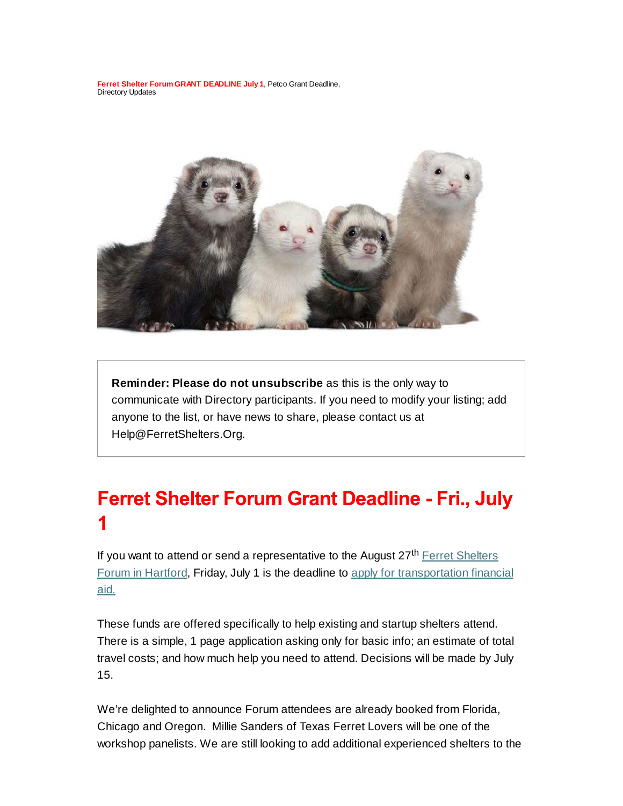**Ferret Shelter Forum GRANT DEADLINE July 1**, Petco Grant Deadline, Directory Updates



**Reminder: Please do not unsubscribe** as this is the only way to communicate with Directory participants. If you need to modify your listing; add anyone to the list, or have news to share, please contact us at Help@FerretShelters.Org.

# **Ferret Shelter Forum Grant Deadline - Fri., July**

If you want to attend or send a representative to the August 27<sup>th</sup> Ferret Shelters Forum in Hartford, Friday, July 1 is the deadline to apply for transportation financial aid.

These funds are offered specifically to help existing and startup shelters attend. There is a simple, 1 page application asking only for basic info; an estimate of total travel costs; and how much help you need to attend. Decisions will be made by July 15.

We're delighted to announce Forum attendees are already booked from Florida, Chicago and Oregon. Millie Sanders of Texas Ferret Lovers will be one of the workshop panelists. We are still looking to add additional experienced shelters to the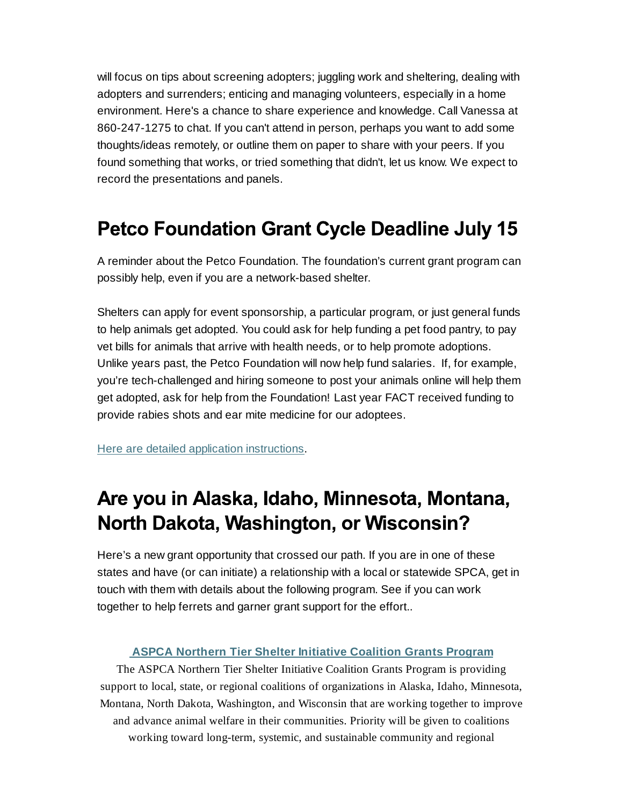will focus on tips about screening adopters; juggling work and sheltering, dealing with adopters and surrenders; enticing and managing volunteers, especially in a home environment. Here's a chance to share experience and knowledge. Call Vanessa at 860-247-1275 to chat. If you can't attend in person, perhaps you want to add some thoughts/ideas remotely, or outline them on paper to share with your peers. If you found something that works, or tried something that didn't, let us know. We expect to record the presentations and panels.

### **Petco Foundation Grant Cycle Deadline July 15**

A reminder about the Petco Foundation. The foundation's current grant program can possibly help, even if you are a network-based shelter.

Shelters can apply for event sponsorship, a particular program, or just general funds to help animals get adopted. You could ask for help funding a pet food pantry, to pay vet bills for animals that arrive with health needs, or to help promote adoptions. Unlike years past, the Petco Foundation will now help fund salaries. If, for example, you're tech-challenged and hiring someone to post your animals online will help them get adopted, ask for help from the Foundation! Last year FACT received funding to provide rabies shots and ear mite medicine for our adoptees.

Here are detailed application instructions.

## Are you in Alaska, Idaho, Minnesota, Montana, North Dakota, Washington, or Wisconsin?

Here's a new grant opportunity that crossed our path. If you are in one of these states and have (or can initiate) a relationship with a local or statewide SPCA, get in touch with them with details about the following program. See if you can work together to help ferrets and garner grant support for the effort..

#### **ASPCA Northern Tier Shelter Initiative Coalition Grants Program**

The ASPCA Northern Tier Shelter Initiative Coalition Grants Program is providing support to local, state, or regional coalitions of organizations in Alaska, Idaho, Minnesota, Montana, North Dakota, Washington, and Wisconsin that are working together to improve and advance animal welfare in their communities. Priority will be given to coalitions working toward long-term, systemic, and sustainable community and regional